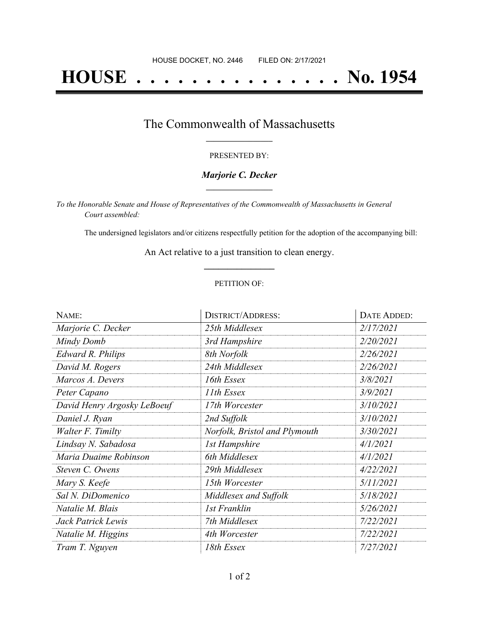# **HOUSE . . . . . . . . . . . . . . . No. 1954**

### The Commonwealth of Massachusetts **\_\_\_\_\_\_\_\_\_\_\_\_\_\_\_\_\_**

#### PRESENTED BY:

#### *Marjorie C. Decker* **\_\_\_\_\_\_\_\_\_\_\_\_\_\_\_\_\_**

*To the Honorable Senate and House of Representatives of the Commonwealth of Massachusetts in General Court assembled:*

The undersigned legislators and/or citizens respectfully petition for the adoption of the accompanying bill:

An Act relative to a just transition to clean energy. **\_\_\_\_\_\_\_\_\_\_\_\_\_\_\_**

#### PETITION OF:

| NAME:                       | <b>DISTRICT/ADDRESS:</b>      | DATE ADDED: |
|-----------------------------|-------------------------------|-------------|
| Marjorie C. Decker          | 25th Middlesex                | 2/17/2021   |
| Mindy Domb                  | 3rd Hampshire                 | 2/20/2021   |
| <b>Edward R. Philips</b>    | 8th Norfolk                   | 2/26/2021   |
| David M. Rogers             | 24th Middlesex                | 2/26/2021   |
| Marcos A. Devers            | 16th Essex                    | 3/8/2021    |
| Peter Capano                | 11th Essex                    | 3/9/2021    |
| David Henry Argosky LeBoeuf | 17th Worcester                | 3/10/2021   |
| Daniel J. Ryan              | 2nd Suffolk                   | 3/10/2021   |
| Walter F. Timilty           | Norfolk, Bristol and Plymouth | 3/30/2021   |
| Lindsay N. Sabadosa         | <b>1st Hampshire</b>          | 4/1/2021    |
| Maria Duaime Robinson       | 6th Middlesex                 | 4/1/2021    |
| Steven C. Owens             | 29th Middlesex                | 4/22/2021   |
| Mary S. Keefe               | 15th Worcester                | 5/11/2021   |
| Sal N. DiDomenico           | Middlesex and Suffolk         | 5/18/2021   |
| Natalie M. Blais            | 1st Franklin                  | 5/26/2021   |
| Jack Patrick Lewis          | 7th Middlesex                 | 7/22/2021   |
| Natalie M. Higgins          | 4th Worcester                 | 7/22/2021   |
| Tram T. Nguyen              | 18th Essex                    | 7/27/2021   |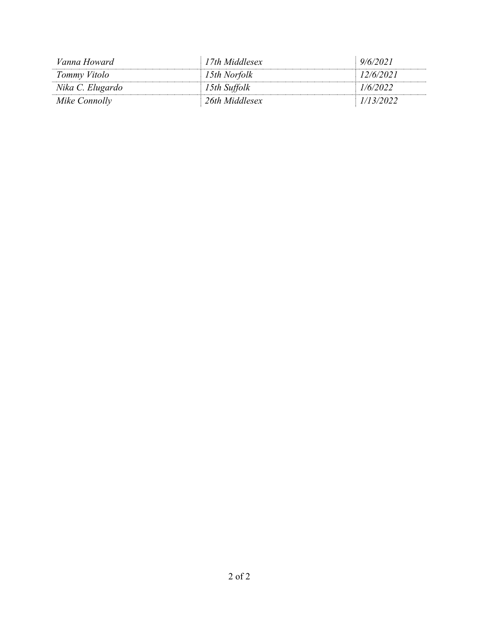| Vanna Howard     | 17th Middlesex | 9/6/2021  |
|------------------|----------------|-----------|
| Tommy Vitolo     | 15th Norfolk   | 12/6/2021 |
| Nika C. Elugardo | 15th Suffolk   | 1/6/2022  |
| Mike Connolly    | 26th Middlesex | 1/13/2022 |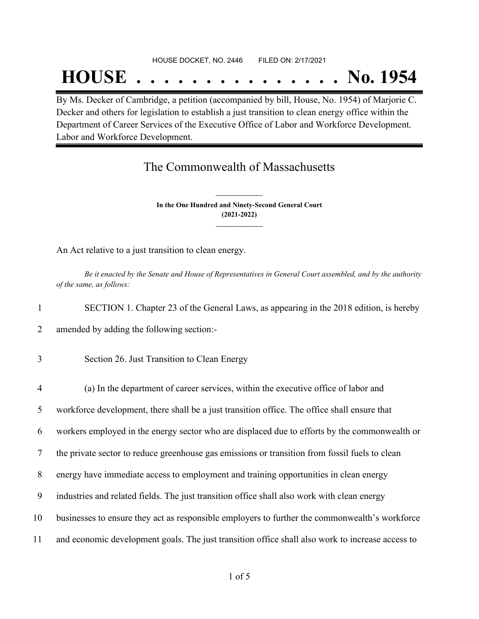#### HOUSE DOCKET, NO. 2446 FILED ON: 2/17/2021

## **HOUSE . . . . . . . . . . . . . . . No. 1954**

By Ms. Decker of Cambridge, a petition (accompanied by bill, House, No. 1954) of Marjorie C. Decker and others for legislation to establish a just transition to clean energy office within the Department of Career Services of the Executive Office of Labor and Workforce Development. Labor and Workforce Development.

## The Commonwealth of Massachusetts

**In the One Hundred and Ninety-Second General Court (2021-2022) \_\_\_\_\_\_\_\_\_\_\_\_\_\_\_**

**\_\_\_\_\_\_\_\_\_\_\_\_\_\_\_**

An Act relative to a just transition to clean energy.

Be it enacted by the Senate and House of Representatives in General Court assembled, and by the authority *of the same, as follows:*

1 SECTION 1. Chapter 23 of the General Laws, as appearing in the 2018 edition, is hereby

2 amended by adding the following section:-

3 Section 26. Just Transition to Clean Energy

 (a) In the department of career services, within the executive office of labor and workforce development, there shall be a just transition office. The office shall ensure that workers employed in the energy sector who are displaced due to efforts by the commonwealth or the private sector to reduce greenhouse gas emissions or transition from fossil fuels to clean energy have immediate access to employment and training opportunities in clean energy industries and related fields. The just transition office shall also work with clean energy businesses to ensure they act as responsible employers to further the commonwealth's workforce and economic development goals. The just transition office shall also work to increase access to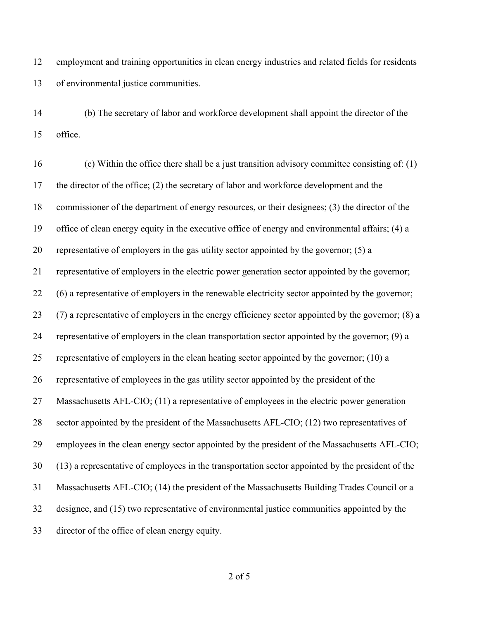employment and training opportunities in clean energy industries and related fields for residents of environmental justice communities.

 (b) The secretary of labor and workforce development shall appoint the director of the office.

 (c) Within the office there shall be a just transition advisory committee consisting of: (1) the director of the office; (2) the secretary of labor and workforce development and the commissioner of the department of energy resources, or their designees; (3) the director of the office of clean energy equity in the executive office of energy and environmental affairs; (4) a representative of employers in the gas utility sector appointed by the governor; (5) a representative of employers in the electric power generation sector appointed by the governor; (6) a representative of employers in the renewable electricity sector appointed by the governor; (7) a representative of employers in the energy efficiency sector appointed by the governor; (8) a representative of employers in the clean transportation sector appointed by the governor; (9) a representative of employers in the clean heating sector appointed by the governor; (10) a representative of employees in the gas utility sector appointed by the president of the Massachusetts AFL-CIO; (11) a representative of employees in the electric power generation 28 sector appointed by the president of the Massachusetts AFL-CIO; (12) two representatives of employees in the clean energy sector appointed by the president of the Massachusetts AFL-CIO; (13) a representative of employees in the transportation sector appointed by the president of the Massachusetts AFL-CIO; (14) the president of the Massachusetts Building Trades Council or a designee, and (15) two representative of environmental justice communities appointed by the director of the office of clean energy equity.

of 5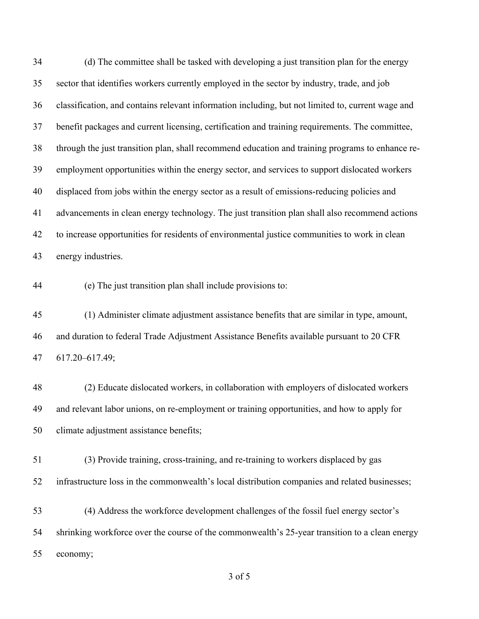(d) The committee shall be tasked with developing a just transition plan for the energy sector that identifies workers currently employed in the sector by industry, trade, and job classification, and contains relevant information including, but not limited to, current wage and benefit packages and current licensing, certification and training requirements. The committee, through the just transition plan, shall recommend education and training programs to enhance re- employment opportunities within the energy sector, and services to support dislocated workers displaced from jobs within the energy sector as a result of emissions-reducing policies and advancements in clean energy technology. The just transition plan shall also recommend actions to increase opportunities for residents of environmental justice communities to work in clean energy industries.

(e) The just transition plan shall include provisions to:

 (1) Administer climate adjustment assistance benefits that are similar in type, amount, and duration to federal Trade Adjustment Assistance Benefits available pursuant to 20 CFR 617.20–617.49;

 (2) Educate dislocated workers, in collaboration with employers of dislocated workers and relevant labor unions, on re-employment or training opportunities, and how to apply for climate adjustment assistance benefits;

 (3) Provide training, cross-training, and re-training to workers displaced by gas infrastructure loss in the commonwealth's local distribution companies and related businesses;

 (4) Address the workforce development challenges of the fossil fuel energy sector's shrinking workforce over the course of the commonwealth's 25-year transition to a clean energy economy;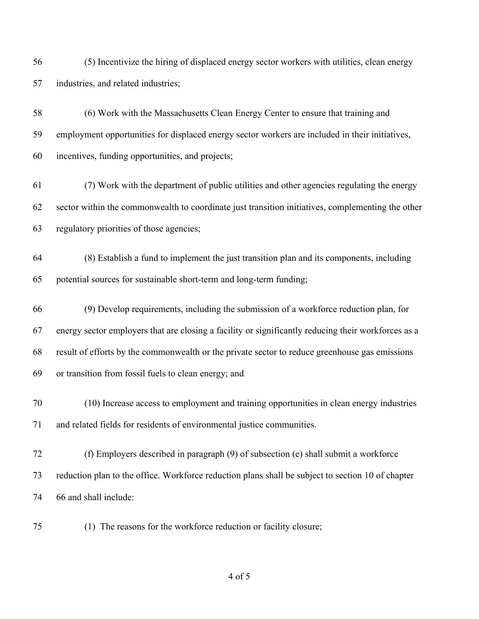(5) Incentivize the hiring of displaced energy sector workers with utilities, clean energy industries, and related industries;

 (6) Work with the Massachusetts Clean Energy Center to ensure that training and employment opportunities for displaced energy sector workers are included in their initiatives, incentives, funding opportunities, and projects;

 (7) Work with the department of public utilities and other agencies regulating the energy sector within the commonwealth to coordinate just transition initiatives, complementing the other regulatory priorities of those agencies;

 (8) Establish a fund to implement the just transition plan and its components, including potential sources for sustainable short-term and long-term funding;

 (9) Develop requirements, including the submission of a workforce reduction plan, for energy sector employers that are closing a facility or significantly reducing their workforces as a result of efforts by the commonwealth or the private sector to reduce greenhouse gas emissions or transition from fossil fuels to clean energy; and

 (10) Increase access to employment and training opportunities in clean energy industries and related fields for residents of environmental justice communities.

 (f) Employers described in paragraph (9) of subsection (e) shall submit a workforce reduction plan to the office. Workforce reduction plans shall be subject to section 10 of chapter 66 and shall include:

(1) The reasons for the workforce reduction or facility closure;

of 5